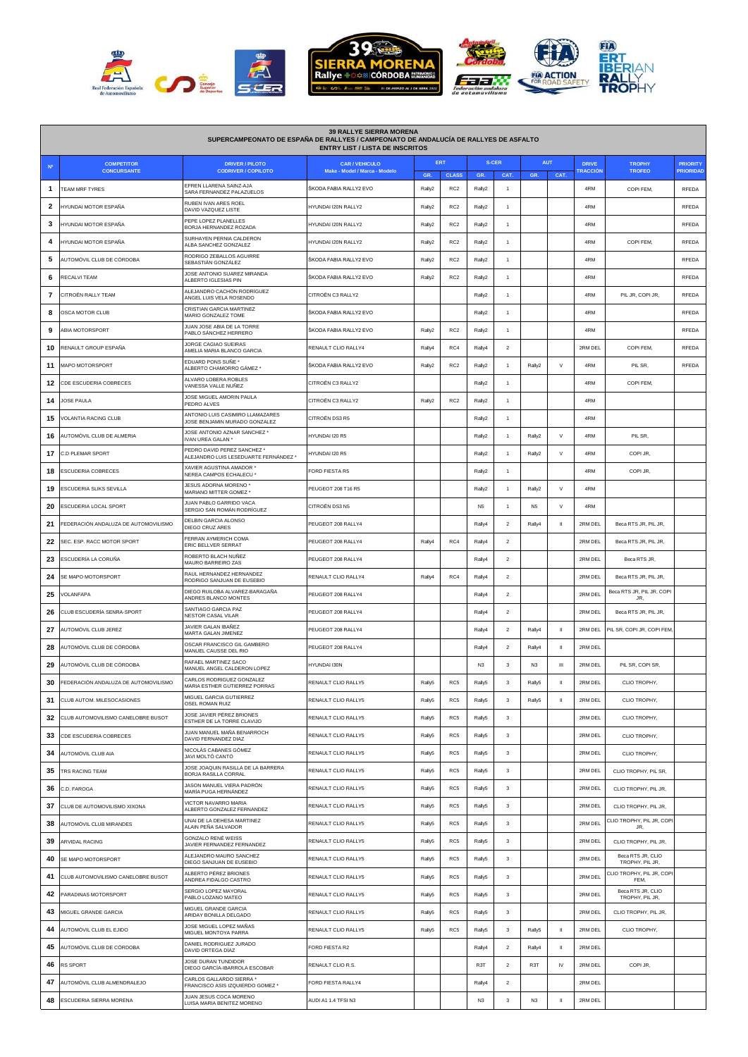

| <b>39 RALLYE SIERRA MORENA</b><br>SUPERCAMPEONATO DE ESPAÑA DE RALLYES / CAMPEONATO DE ANDALUCÍA DE RALLYES DE ASFALTO<br><b>ENTRY LIST / LISTA DE INSCRITOS</b> |                                         |                                                                         |                                                        |                            |                 |                    |                         |                    |              |                                 |                                      |                              |
|------------------------------------------------------------------------------------------------------------------------------------------------------------------|-----------------------------------------|-------------------------------------------------------------------------|--------------------------------------------------------|----------------------------|-----------------|--------------------|-------------------------|--------------------|--------------|---------------------------------|--------------------------------------|------------------------------|
|                                                                                                                                                                  | <b>COMPETITOR</b><br><b>CONCURSANTE</b> | <b>DRIVER / PILOTO</b><br><b>CODRIVER / COPILOTO</b>                    | <b>CAR / VEHICULO</b><br>Make - Model / Marca - Modelo | ERT<br><b>CLASS</b><br>GR. |                 | <b>S-CER</b>       |                         | <b>AUT</b><br>CAT. |              | <b>DRIVE</b><br><b>TRACCIÓN</b> | <b>TROPHY</b><br><b>TROFEO</b>       | <b>PRIORITY</b><br>PRIORIDAD |
| 1                                                                                                                                                                | TEAM MRF TYRES                          | EFREN LLARENA SAINZ-AJA<br>SARA FERNANDEZ PALAZUELOS                    | ŠKODA FABIA RALLY2 EVO                                 | Rally2                     | RC <sub>2</sub> | GR.<br>Rally2      | CAT.                    | <b>GR</b>          |              | 4RM                             | COPI FEM,                            | RFEDA                        |
| 2                                                                                                                                                                | IYUNDAI MOTOR ESPAÑA                    | RUBEN IVAN ARES ROEL<br>DAVID VAZQUEZ LISTE                             | HYUNDAI I20N RALLY2                                    | Rally2                     | RC <sub>2</sub> | Rally2             | $\mathbf{1}$            |                    |              | 4RM                             |                                      | RFEDA                        |
| 3                                                                                                                                                                | HYUNDAI MOTOR ESPAÑA                    | PEPE LOPEZ PLANELLES<br>BORJA HERNANDEZ ROZADA                          | HYUNDAI I20N RALLY2                                    | Rally2                     | RC <sub>2</sub> | Rally2             | 1                       |                    |              | 4RM                             |                                      | <b>RFEDA</b>                 |
| 4                                                                                                                                                                | IYUNDAI MOTOR ESPAÑA                    | SURHAYEN PERNIA CALDERON<br>ALBA SANCHEZ GONZALEZ                       | HYUNDAI I20N RALLY2                                    | Rally2                     | RC <sub>2</sub> | Rally2             |                         |                    |              | 4RM                             | COPI FEM,                            | RFEDA                        |
| -5                                                                                                                                                               | AUTOMÓVIL CLUB DE CÓRDOBA               | RODRIGO ZEBALLOS AGUIRRE<br>SEBASTIÁN GONZÁLEZ                          | ŠKODA FABIA RALLY2 EVO                                 | Rally2                     | RC <sub>2</sub> | Rally2             |                         |                    |              | 4RM                             |                                      | RFEDA                        |
| -6                                                                                                                                                               | RECALVI TEAM                            | JOSE ANTONIO SUAREZ MIRANDA<br>ALBERTO IGLESIAS PIN                     | ŠKODA FABIA RALLY2 EVO                                 | Rally2                     | RC <sub>2</sub> | Rally2             |                         |                    |              | 4RM                             |                                      | <b>RFEDA</b>                 |
| 7                                                                                                                                                                | CITROËN RALLY TEAM                      | ALEJANDRO CACHÓN RODRÍGUEZ<br>ANGEL LUIS VELA ROSENDO                   | CITROËN C3 RALLY2                                      |                            |                 | Rally2             | 1                       |                    |              | 4RM                             | PIL JR, COPI JR,                     | RFEDA                        |
| 8                                                                                                                                                                | OSCA MOTOR CLUB                         | CRISTIAN GARCIA MARTINEZ<br>MARIO GONZALEZ TOME                         | ŠKODA FABIA RALLY2 EVO                                 |                            |                 | Rally2             | 1                       |                    |              | 4RM                             |                                      | RFEDA                        |
| 9                                                                                                                                                                | <b>ABIA MOTORSPORT</b>                  | JUAN JOSE ABIA DE LA TORRE<br>PABLO SÁNCHEZ HERRERO                     | ŜKODA FABIA RALLY2 EVO                                 | Rally2                     | RC <sub>2</sub> | Rally2             | 1                       |                    |              | 4RM                             |                                      | RFEDA                        |
| 10                                                                                                                                                               | RENAULT GROUP ESPAÑA                    | JORGE CAGIAO SUEIRAS<br>AMELIA MARIA BLANCO GARCIA                      | RENAULT CLIO RALLY4                                    | Rally4                     | RC4             | Rally4             | $\overline{\mathbf{2}}$ |                    |              | 2RM DEL                         | COPI FEM,                            | <b>RFEDA</b>                 |
| 11                                                                                                                                                               | <b>MAPO MOTORSPORT</b>                  | EDUARD PONS SUÑE<br>ALBERTO CHAMORRO GÁMEZ *                            | ŠKODA FABIA RALLY2 EVO                                 | Rally2                     | RC <sub>2</sub> | Rally2             | -1                      | Rally2             | $\vee$       | 4RM                             | PIL SR.                              | RFEDA                        |
| 12                                                                                                                                                               | <b>DE ESCUDERIA COBRECES</b>            | ALVARO LOBERA ROBLES<br>VANESSA VALLE NUÑEZ                             | CITROËN C3 RALLY2                                      |                            |                 | Rally2             |                         |                    |              | 4RM                             | COPI FEM,                            |                              |
| 14                                                                                                                                                               | OSE PAULA                               | JOSE MIGUEL AMORIN PAULA<br>PEDRO ALVES                                 | CITROËN C3 RALLY2                                      | Rally2                     | RC <sub>2</sub> | Rally2             | $\mathbf{1}$            |                    |              | 4RM                             |                                      |                              |
| 15                                                                                                                                                               | VOLANTIA RACING CLUB                    | ANTONIO LUIS CASIMIRO LLAMAZARES<br>JOSE BENJAMIN MURADO GONZALEZ       | CITROËN DS3 R5                                         |                            |                 | Rally2             | -1                      |                    |              | 4RM                             |                                      |                              |
| 16                                                                                                                                                               | AUTOMÓVIL CLUB DE ALMERIA               | JOSE ANTONIO AZNAR SANCHEZ <sup>®</sup><br>IVAN UREA GALAN *            | HYUNDAI I20 R5                                         |                            |                 | Rally2             |                         | Rally2             | V            | 4RM                             | PIL SR,                              |                              |
| 17                                                                                                                                                               | <b>CD PLEMAR SPORT</b>                  | PEDRO DAVID PEREZ SANCHEZ *<br>ALEJANDRO LUIS LESEDUARTE FERNÁNDEZ *    | HYUNDAI I20 R5                                         |                            |                 | Rally2             | $\overline{1}$          | Rally2             | V            | 4RM                             | COPI JR.                             |                              |
| 18                                                                                                                                                               | <b>SCUDERIA COBRECES</b>                | <b>XAVIER AGUSTINA AMADOR *</b><br>NEREA CAMPOS ECHALECU *              | FORD FIESTA R5                                         |                            |                 | Rally2             | -1                      |                    |              | 4RM                             | COPI JR.                             |                              |
| 19                                                                                                                                                               | SCUDERIA SLIKS SEVILLA                  | JESUS ADORNA MORENO<br>MARIANO MITTER GOMEZ '                           | PEUGEOT 208 T16 R5                                     |                            |                 | Rally2             |                         | Rally2             | $\vee$       | 4RM                             |                                      |                              |
| 20                                                                                                                                                               | ESCUDERIA LOCAL SPORT                   | JUAN PABLO GARRIDO VACA<br>SERGIO SAN ROMÁN RODRÍGUEZ                   | CITROËN DS3 N5                                         |                            |                 | N <sub>5</sub>     | $\mathbf{1}$            | N <sub>5</sub>     | $\lor$       | 4RM                             |                                      |                              |
| 21                                                                                                                                                               | FEDERACIÓN ANDALUZA DE AUTOMOVILISMO    | DELBIN GARCIA ALONSO<br>DIEGO CRUZ ARES                                 | PEUGEOT 208 RALLY4                                     |                            |                 | Rally4             | $\overline{2}$          | Rally4             | $\mathbf{u}$ | 2RM DEL                         | Beca RTS JR, PIL JR,                 |                              |
| 22                                                                                                                                                               | SEC. ESP. RACC MOTOR SPORT              | FERRAN AYMERICH COMA<br>ERIC BELLVER SERRAT                             | PEUGEOT 208 RALLY4                                     | Rally4                     | RC4             | Rally4             | $\overline{2}$          |                    |              | 2RM DEL                         | Beca RTS JR, PIL JR,                 |                              |
| 23                                                                                                                                                               | ESCUDERÍA LA CORUÑA                     | ROBERTO BLACH NUÑEZ<br>MAURO BARREIRO ZAS                               | PEUGEOT 208 RALLY4                                     |                            |                 | Rally4             | $\overline{2}$          |                    |              | 2RM DEL                         | Beca RTS JR.                         |                              |
| 24                                                                                                                                                               | SE MAPO MOTORSPORT                      | RAUL HERNANDEZ HERNANDEZ<br>RODRIGO SANJUAN DE EUSEBIO                  | RENAULT CLIO RALLY4                                    | Rally4                     | RC4             | Rally4             | $\boldsymbol{2}$        |                    |              | 2RM DEL                         | Beca RTS JR, PIL JR,                 |                              |
| 25                                                                                                                                                               | <b>VOLANFAPA</b>                        | DIEGO RUILOBA ALVAREZ-BARAGAÑA<br>ANDRES BLANCO MONTES                  | PEUGEOT 208 RALLY4                                     |                            |                 | Rally4             | $\overline{2}$          |                    |              | 2RM DEL                         | Beca RTS JR, PIL JR, COPI<br>JR.     |                              |
| 26                                                                                                                                                               | CLUB ESCUDERÍA SENRA-SPORT              | SANTIAGO GARCIA PAZ<br><b>NESTOR CASAL VILAR</b>                        | PEUGEOT 208 RALLY4                                     |                            |                 | Rally4             | $\overline{2}$          |                    |              | 2RM DEL                         | Beca RTS JR, PIL JR,                 |                              |
| 27                                                                                                                                                               | AUTOMÓVIL CLUB JEREZ                    | JAVIER GALAN IBAÑEZ<br>MARTA GALAN JIMENEZ                              | PEUGEOT 208 RALLY4                                     |                            |                 | Rally4             | $\boldsymbol{2}$        | Rally4             | $\,$ II      | 2RM DEL                         | PIL SR, COPI JR, COPI FEM            |                              |
| 28                                                                                                                                                               | AUTOMÓVIL CLUB DE CÓRDOBA               | OSCAR FRANCISCO GIL GAMBERO<br>MANUEL CAUSSE DEL RIO                    | PEUGEOT 208 RALLY4                                     |                            |                 | Rally4             | $\overline{\mathbf{2}}$ | Rally4             | $\mathbf{I}$ | 2RM DEL                         |                                      |                              |
| 29                                                                                                                                                               | AUTOMÓVIL CLUB DE CÓRDOBA               | RAFAEL MARTINEZ SACO<br>MANUEL ANGEL CALDERON LOPEZ                     | HYUNDAI I30N                                           |                            |                 | N <sub>3</sub>     | 3                       | N <sub>3</sub>     | $\mathbf{m}$ | 2RM DEL                         | PIL SR, COPI SR,                     |                              |
| 30                                                                                                                                                               | FEDERACIÓN ANDALUZA DE AUTOMOVILISMO    | CARLOS RODRIGUEZ GONZALEZ<br>MARIA ESTHER GUTIERREZ PORRAS              | RENAULT CLIO RALLY5                                    | Rally5                     | RC5             | Rally5             | $\mathsf 3$             | Rally5             | $\mathbf{I}$ | 2RM DEL                         | CLIO TROPHY,                         |                              |
| 31                                                                                                                                                               | CLUB AUTOM. MILESOCASIONES              | MIGUEL GARCIA GUTIERREZ<br>OSEL ROMAN RUIZ                              | RENAULT CLIO RALLY5                                    | Rally5                     | RC5             | Rally5             | $\mathbf 3$             | Rally5             | $\,$ H       | 2RM DEL                         | CLIO TROPHY,                         |                              |
| 32                                                                                                                                                               | CLUB AUTOMOVILISMO CANELOBRE BUSOT      | JOSE JAVIER PÉREZ BRIONES<br>ESTHER DE LA TORRE CLAVIJO                 | RENAULT CLIO RALLY5                                    | Rally5                     | RC <sub>5</sub> | Rally5             | 3                       |                    |              | 2RM DEL                         | CLIO TROPHY,                         |                              |
| 33                                                                                                                                                               | CDE ESCUDERIA COBRECES                  | JUAN MANUEL MAÑA BENARROCH<br>DAVID FERNANDEZ DIAZ                      | RENAULT CLIO RALLY5                                    | Rally5                     | RC5             | Rally <sub>5</sub> | 3                       |                    |              | 2RM DEL                         | CLIO TROPHY,                         |                              |
| 34                                                                                                                                                               | AUTOMÓVIL CLUB AIA                      | NICOLÁS CABANES GÓMEZ<br>JAVI MOLTÓ CANTÓ                               | RENAULT CLIO RALLY5                                    | Rally5                     | RC <sub>5</sub> | Rally <sub>5</sub> | 3                       |                    |              | 2RM DEL                         | CLIO TROPHY,                         |                              |
| 35                                                                                                                                                               | TRS RACING TEAM                         | JOSE JOAQUIN RASILLA DE LA BARRERA<br>BORJA RASILLA CORRAL              | RENAULT CLIO RALLY5                                    | Rally5                     | RC <sub>5</sub> | Rally5             | 3                       |                    |              | 2RM DEL                         | CLIO TROPHY, PIL SR,                 |                              |
| 36                                                                                                                                                               | C.D. FAROGA                             | JASON MANUEL VIERA PADRÓN<br>MARÍA PUGA HERNÁNDEZ                       | RENAULT CLIO RALLY5                                    | Rally5                     | RC5             | Rally5             | 3                       |                    |              | 2RM DEL                         | CLIO TROPHY, PIL JR,                 |                              |
| 37                                                                                                                                                               | CLUB DE AUTOMOVILISMO XIXONA            | VICTOR NAVARRO MARIA<br>ALBERTO GONZALEZ FERNANDEZ                      | RENAULT CLIO RALLY5                                    | Rally5                     | RC <sub>5</sub> | Rally5             | 3                       |                    |              | 2RM DEL                         | CLIO TROPHY, PIL JR,                 |                              |
| 38                                                                                                                                                               | AUTOMÓVIL CLUB MIRANDES                 | UNAI DE LA DEHESA MARTINEZ<br>ALAIN PEÑA SALVADOR                       | RENAULT CLIO RALLY5                                    | Rally5                     | RC <sub>5</sub> | Rally5             | 3                       |                    |              | 2RM DEL                         | CLIO TROPHY, PIL JR, COP<br>JR,      |                              |
| 39                                                                                                                                                               | <b>ARVIDAL RACING</b>                   | GONZALO RENÉ WEISS<br>JAVIER FERNANDEZ FERNANDEZ                        | RENAULT CLIO RALLY5                                    | Rally5                     | RC <sub>5</sub> | Rally <sub>5</sub> | 3                       |                    |              | 2RM DEL                         | CLIO TROPHY, PIL JR,                 |                              |
| 40                                                                                                                                                               | SE MAPO MOTORSPORT                      | ALEJANDRO MAURO SANCHEZ<br>DIEGO SANJUAN DE EUSEBIO                     | RENAULT CLIO RALLY5                                    | Rally5                     | RC <sub>5</sub> | Rally5             | 3                       |                    |              | 2RM DEL                         | Beca RTS JR, CLIO<br>TROPHY, PIL JR, |                              |
| 41                                                                                                                                                               | CLUB AUTOMOVILISMO CANELOBRE BUSOT      | ALBERTO PÉREZ BRIONES<br>ANDREA FIDALGO CASTRO                          | RENAULT CLIO RALLY5                                    | Rally5                     | RC5             | Rally5             | 3                       |                    |              | 2RM DEL                         | CLIO TROPHY, PIL JR, COPI<br>FFM.    |                              |
| 42                                                                                                                                                               | PARADINAS MOTORSPORT                    | SERGIO LOPEZ MAYORAL<br>PABLO LOZANO MATEO                              | RENAULT CLIO RALLY5                                    | Rally5                     | RC5             | Rally5             | 3                       |                    |              | 2RM DEL                         | Beca RTS JR, CLIO<br>TROPHY, PIL JR, |                              |
| 43                                                                                                                                                               | MIGUEL GRANDE GARCIA                    | MIGUEL GRANDE GARCIA<br>ARIDAY BONILLA DELGADO                          | RENAULT CLIO RALLY5                                    | Rally5                     | RC <sub>5</sub> | Rally5             | 3                       |                    |              | 2RM DEL                         | CLIO TROPHY, PIL JR,                 |                              |
| 44                                                                                                                                                               | AUTOMÓVIL CLUB EL EJIDO                 | JOSE MIGUEL LOPEZ MAÑAS<br>MIGUEL MONTOYA PARRA                         | RENAULT CLIO RALLY5                                    | Rally5                     | RC5             | Rally5             | 3                       | Rally5             | $\,$ II      | 2RM DEL                         | CLIO TROPHY,                         |                              |
| 45                                                                                                                                                               | AUTOMÓVIL CLUB DE CÓRDOBA               | DANIEL RODRIGUEZ JURADO<br>DAVID ORTEGA DÍAZ                            | FORD FIESTA R2                                         |                            |                 | Rally4             | $\overline{2}$          | Rally4             | $\mathbf{H}$ | 2RM DEL                         |                                      |                              |
| 46                                                                                                                                                               | RS SPORT                                | JOSE DURAN TUNDIDOR<br>DIEGO GARCÍA-IBARROLA ESCOBAR                    | RENAULT CLIO R.S.                                      |                            |                 | R <sub>3</sub> T   | $\overline{\mathbf{2}}$ | R <sub>3</sub> T   | IV           | 2RM DEL                         | COPI JR,                             |                              |
| 47                                                                                                                                                               | AUTOMÓVIL CLUB ALMENDRALEJO             | CARLOS GALLARDO SIERRA *<br>FRANCISCO ASIS IZQUIERDO GOMEZ <sup>*</sup> | FORD FIESTA RALLY4                                     |                            |                 | Rally4             | $\mathbf 2$             |                    |              | 2RM DEL                         |                                      |                              |
| 48                                                                                                                                                               | ESCUDERIA SIERRA MORENA                 | JUAN JESUS COCA MORENO<br>LUISA MARIA BENITEZ MORENO                    | AUDI A1 1.4 TFSI N3                                    |                            |                 | N <sub>3</sub>     | 3                       | N <sub>3</sub>     | $\mathbf{u}$ | 2RM DEL                         |                                      |                              |